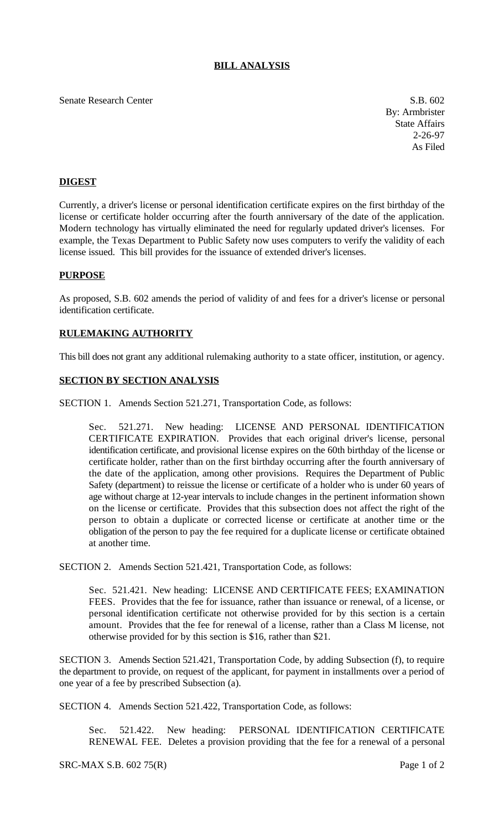# **BILL ANALYSIS**

#### Senate Research Center S.B. 602

By: Armbrister State Affairs 2-26-97 As Filed

## **DIGEST**

Currently, a driver's license or personal identification certificate expires on the first birthday of the license or certificate holder occurring after the fourth anniversary of the date of the application. Modern technology has virtually eliminated the need for regularly updated driver's licenses. For example, the Texas Department to Public Safety now uses computers to verify the validity of each license issued. This bill provides for the issuance of extended driver's licenses.

### **PURPOSE**

As proposed, S.B. 602 amends the period of validity of and fees for a driver's license or personal identification certificate.

#### **RULEMAKING AUTHORITY**

This bill does not grant any additional rulemaking authority to a state officer, institution, or agency.

### **SECTION BY SECTION ANALYSIS**

SECTION 1. Amends Section 521.271, Transportation Code, as follows:

Sec. 521.271. New heading: LICENSE AND PERSONAL IDENTIFICATION CERTIFICATE EXPIRATION. Provides that each original driver's license, personal identification certificate, and provisional license expires on the 60th birthday of the license or certificate holder, rather than on the first birthday occurring after the fourth anniversary of the date of the application, among other provisions. Requires the Department of Public Safety (department) to reissue the license or certificate of a holder who is under 60 years of age without charge at 12-year intervals to include changes in the pertinent information shown on the license or certificate. Provides that this subsection does not affect the right of the person to obtain a duplicate or corrected license or certificate at another time or the obligation of the person to pay the fee required for a duplicate license or certificate obtained at another time.

SECTION 2. Amends Section 521.421, Transportation Code, as follows:

Sec. 521.421. New heading: LICENSE AND CERTIFICATE FEES; EXAMINATION FEES. Provides that the fee for issuance, rather than issuance or renewal, of a license, or personal identification certificate not otherwise provided for by this section is a certain amount. Provides that the fee for renewal of a license, rather than a Class M license, not otherwise provided for by this section is \$16, rather than \$21.

SECTION 3. Amends Section 521.421, Transportation Code, by adding Subsection (f), to require the department to provide, on request of the applicant, for payment in installments over a period of one year of a fee by prescribed Subsection (a).

SECTION 4. Amends Section 521.422, Transportation Code, as follows:

Sec. 521.422. New heading: PERSONAL IDENTIFICATION CERTIFICATE RENEWAL FEE. Deletes a provision providing that the fee for a renewal of a personal

SRC-MAX S.B. 602 75(R) Page 1 of 2